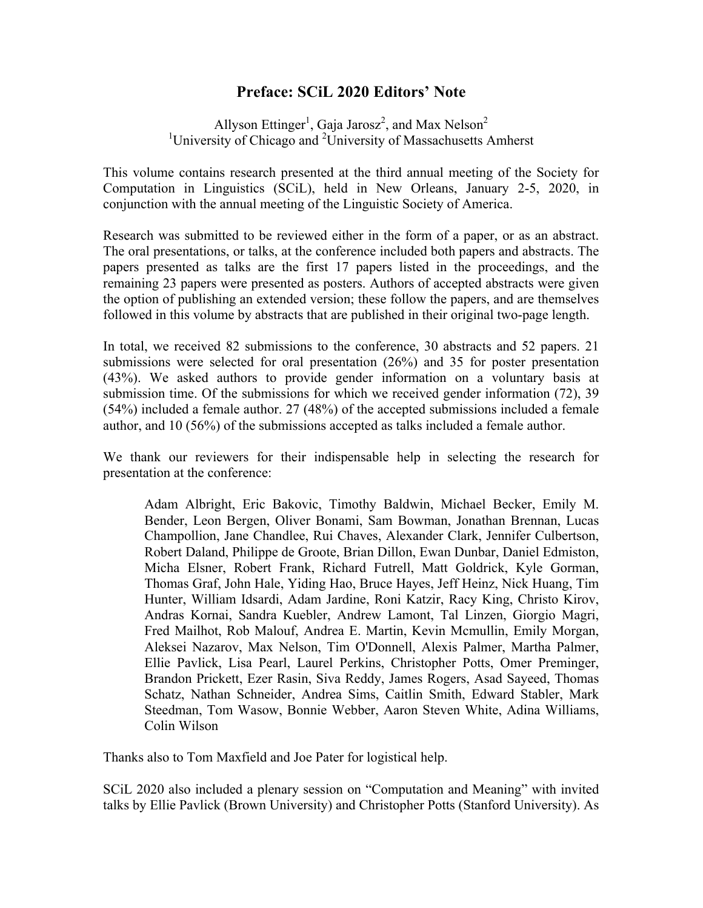## **Preface: SCiL 2020 Editors' Note**

Allyson Ettinger<sup>1</sup>, Gaja Jarosz<sup>2</sup>, and Max Nelson<sup>2</sup> <sup>1</sup>University of Chicago and <sup>2</sup>University of Massachusetts Amherst

This volume contains research presented at the third annual meeting of the Society for Computation in Linguistics (SCiL), held in New Orleans, January 2-5, 2020, in conjunction with the annual meeting of the Linguistic Society of America.

Research was submitted to be reviewed either in the form of a paper, or as an abstract. The oral presentations, or talks, at the conference included both papers and abstracts. The papers presented as talks are the first 17 papers listed in the proceedings, and the remaining 23 papers were presented as posters. Authors of accepted abstracts were given the option of publishing an extended version; these follow the papers, and are themselves followed in this volume by abstracts that are published in their original two-page length.

In total, we received 82 submissions to the conference, 30 abstracts and 52 papers. 21 submissions were selected for oral presentation (26%) and 35 for poster presentation (43%). We asked authors to provide gender information on a voluntary basis at submission time. Of the submissions for which we received gender information (72), 39 (54%) included a female author. 27 (48%) of the accepted submissions included a female author, and 10 (56%) of the submissions accepted as talks included a female author.

We thank our reviewers for their indispensable help in selecting the research for presentation at the conference:

Adam Albright, Eric Bakovic, Timothy Baldwin, Michael Becker, Emily M. Bender, Leon Bergen, Oliver Bonami, Sam Bowman, Jonathan Brennan, Lucas Champollion, Jane Chandlee, Rui Chaves, Alexander Clark, Jennifer Culbertson, Robert Daland, Philippe de Groote, Brian Dillon, Ewan Dunbar, Daniel Edmiston, Micha Elsner, Robert Frank, Richard Futrell, Matt Goldrick, Kyle Gorman, Thomas Graf, John Hale, Yiding Hao, Bruce Hayes, Jeff Heinz, Nick Huang, Tim Hunter, William Idsardi, Adam Jardine, Roni Katzir, Racy King, Christo Kirov, Andras Kornai, Sandra Kuebler, Andrew Lamont, Tal Linzen, Giorgio Magri, Fred Mailhot, Rob Malouf, Andrea E. Martin, Kevin Mcmullin, Emily Morgan, Aleksei Nazarov, Max Nelson, Tim O'Donnell, Alexis Palmer, Martha Palmer, Ellie Pavlick, Lisa Pearl, Laurel Perkins, Christopher Potts, Omer Preminger, Brandon Prickett, Ezer Rasin, Siva Reddy, James Rogers, Asad Sayeed, Thomas Schatz, Nathan Schneider, Andrea Sims, Caitlin Smith, Edward Stabler, Mark Steedman, Tom Wasow, Bonnie Webber, Aaron Steven White, Adina Williams, Colin Wilson

Thanks also to Tom Maxfield and Joe Pater for logistical help.

SCiL 2020 also included a plenary session on "Computation and Meaning" with invited talks by Ellie Pavlick (Brown University) and Christopher Potts (Stanford University). As